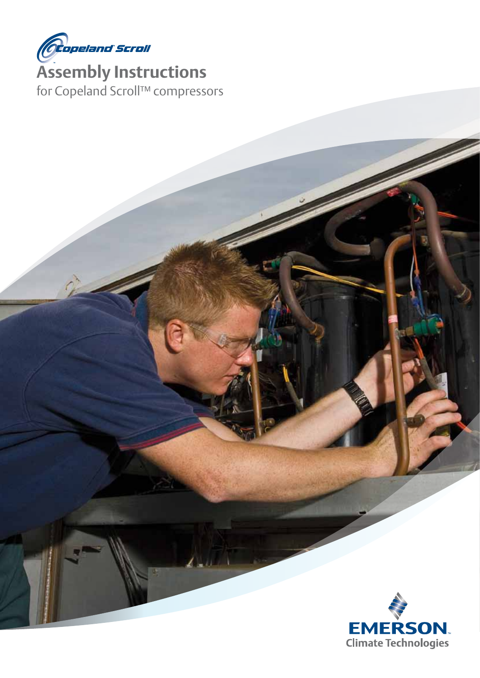

**Assembly Instructions** for Copeland Scroll™ compressors

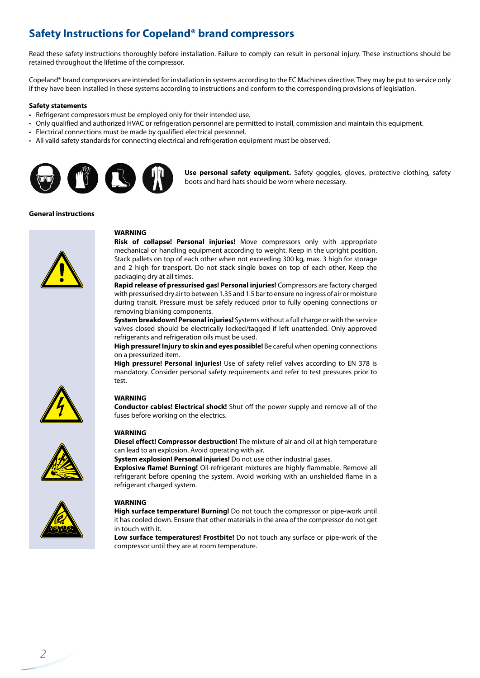# **Safety Instructions for Copeland® brand compressors**

Read these safety instructions thoroughly before installation. Failure to comply can result in personal injury. These instructions should be retained throughout the lifetime of the compressor.

Copeland® brand compressors are intended for installation in systems according to the EC Machines directive. They may be put to service only if they have been installed in these systems according to instructions and conform to the corresponding provisions of legislation.

## **Safety statements**

- Refrigerant compressors must be employed only for their intended use.
- Only qualified and authorized HVAC or refrigeration personnel are permitted to install, commission and maintain this equipment.
- Electrical connections must be made by qualified electrical personnel.
- All valid safety standards for connecting electrical and refrigeration equipment must be observed.



**Use personal safety equipment.** Safety goggles, gloves, protective clothing, safety boots and hard hats should be worn where necessary.

#### **General instructions**



## **WARNING**

**Risk of collapse! Personal injuries!** Move compressors only with appropriate mechanical or handling equipment according to weight. Keep in the upright position. Stack pallets on top of each other when not exceeding 300 kg, max. 3 high for storage and 2 high for transport. Do not stack single boxes on top of each other. Keep the packaging dry at all times.

**Rapid release of pressurised gas! Personal injuries!** Compressors are factory charged with pressurised dry air to between 1.35 and 1.5 bar to ensure no ingress of air or moisture during transit. Pressure must be safely reduced prior to fully opening connections or removing blanking components.

**System breakdown! Personal injuries!** Systems without a full charge or with the service valves closed should be electrically locked/tagged if left unattended. Only approved refrigerants and refrigeration oils must be used.

**High pressure! Injury to skin and eyes possible!** Be careful when opening connections on a pressurized item.

**High pressure! Personal injuries!** Use of safety relief valves according to EN 378 is mandatory. Consider personal safety requirements and refer to test pressures prior to test.



## **WARNING**

**Conductor cables! Electrical shock!** Shut off the power supply and remove all of the fuses before working on the electrics.

#### **WARNING**

**Diesel effect! Compressor destruction!** The mixture of air and oil at high temperature can lead to an explosion. Avoid operating with air.

**System explosion! Personal injuries!** Do not use other industrial gases.

**Explosive flame! Burning!** Oil-refrigerant mixtures are highly flammable. Remove all refrigerant before opening the system. Avoid working with an unshielded flame in a refrigerant charged system.

#### **WARNING**



**High surface temperature! Burning!** Do not touch the compressor or pipe-work until it has cooled down. Ensure that other materials in the area of the compressor do not get in touch with it.

**Low surface temperatures! Frostbite!** Do not touch any surface or pipe-work of the compressor until they are at room temperature.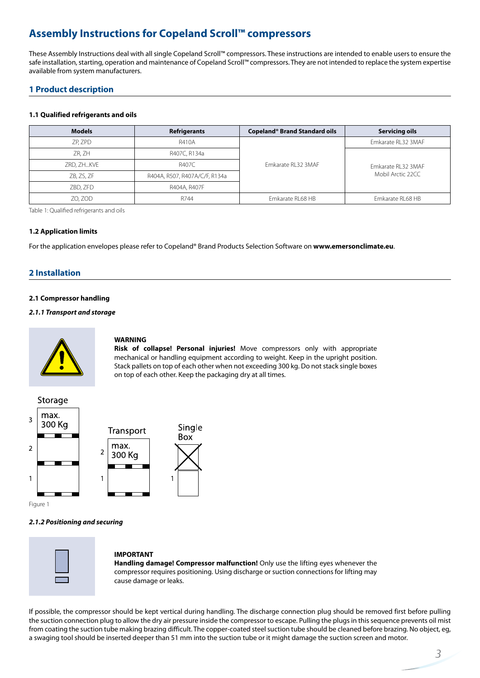# **Assembly Instructions for Copeland Scroll™ compressors**

These Assembly Instructions deal with all single Copeland Scroll™ compressors. These instructions are intended to enable users to ensure the safe installation, starting, operation and maintenance of Copeland Scroll™ compressors. They are not intended to replace the system expertise available from system manufacturers.

# **1 Product description**

## **1.1 Qualified refrigerants and oils**

| <b>Models</b> | <b>Refrigerants</b>           | <b>Copeland® Brand Standard oils</b> | <b>Servicing oils</b> |  |
|---------------|-------------------------------|--------------------------------------|-----------------------|--|
| ZP, ZPD       | R410A                         |                                      | Emkarate RL32 3MAF    |  |
| ZR. ZH        | R407C, R134a                  |                                      |                       |  |
| ZRD, ZHKVE    | R407C                         | Emkarate RL32 3MAF                   | Emkarate RL32 3MAF    |  |
| ZB, ZS, ZF    | R404A, R507, R407A/C/F, R134a |                                      | Mobil Arctic 22CC     |  |
| ZBD. ZFD      | R404A, R407F                  |                                      |                       |  |
| ZO, ZOD       | R744                          | Emkarate RL68 HB                     | Emkarate RL68 HB      |  |

Table 1: Qualified refrigerants and oils

## **1.2 Application limits**

For the application envelopes please refer to Copeland® Brand Products Selection Software on **www.emersonclimate.eu**.

# **2 Installation**

## **2.1 Compressor handling**

## *2.1.1 Transport and storage*



## **WARNING**

**Risk of collapse! Personal injuries!** Move compressors only with appropriate mechanical or handling equipment according to weight. Keep in the upright position. Stack pallets on top of each other when not exceeding 300 kg. Do not stack single boxes on top of each other. Keep the packaging dry at all times.



Figure 1

## *2.1.2 Positioning and securing*



#### **IMPORTANT**

**Handling damage! Compressor malfunction!** Only use the lifting eyes whenever the compressor requires positioning. Using discharge or suction connections for lifting may cause damage or leaks.

If possible, the compressor should be kept vertical during handling. The discharge connection plug should be removed first before pulling the suction connection plug to allow the dry air pressure inside the compressor to escape. Pulling the plugs in this sequence prevents oil mist from coating the suction tube making brazing difficult. The copper-coated steel suction tube should be cleaned before brazing. No object, eg, a swaging tool should be inserted deeper than 51 mm into the suction tube or it might damage the suction screen and motor.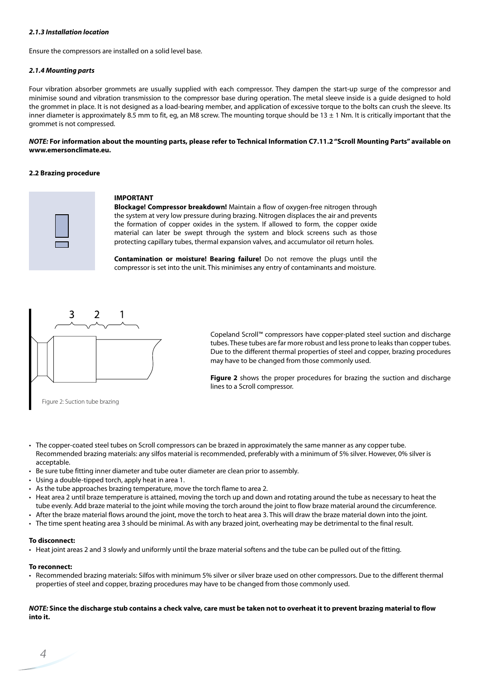## *2.1.3 Installation location*

Ensure the compressors are installed on a solid level base.

#### *2.1.4 Mounting parts*

Four vibration absorber grommets are usually supplied with each compressor. They dampen the start-up surge of the compressor and minimise sound and vibration transmission to the compressor base during operation. The metal sleeve inside is a guide designed to hold the grommet in place. It is not designed as a load-bearing member, and application of excessive torque to the bolts can crush the sleeve. Its inner diameter is approximately 8.5 mm to fit, eg, an M8 screw. The mounting torque should be 13  $\pm$  1 Nm. It is critically important that the grommet is not compressed.

## *NOTE:* **For information about the mounting parts, please refer to Technical Information C7.11.2 "Scroll Mounting Parts" available on www.emersonclimate.eu.**

#### **2.2 Brazing procedure**



### **IMPORTANT**

**Blockage! Compressor breakdown!** Maintain a flow of oxygen-free nitrogen through the system at very low pressure during brazing. Nitrogen displaces the air and prevents the formation of copper oxides in the system. If allowed to form, the copper oxide material can later be swept through the system and block screens such as those protecting capillary tubes, thermal expansion valves, and accumulator oil return holes.

**Contamination or moisture! Bearing failure!** Do not remove the plugs until the compressor is set into the unit. This minimises any entry of contaminants and moisture.



Figure 2: Suction tube brazing

Copeland Scroll™ compressors have copper-plated steel suction and discharge tubes. These tubes are far more robust and less prone to leaks than copper tubes. Due to the different thermal properties of steel and copper, brazing procedures may have to be changed from those commonly used.

**Figure 2** shows the proper procedures for brazing the suction and discharge lines to a Scroll compressor.

- The copper-coated steel tubes on Scroll compressors can be brazed in approximately the same manner as any copper tube. Recommended brazing materials: any silfos material is recommended, preferably with a minimum of 5% silver. However, 0% silver is acceptable.
- Be sure tube fitting inner diameter and tube outer diameter are clean prior to assembly.
- Using a double-tipped torch, apply heat in area 1.
- As the tube approaches brazing temperature, move the torch flame to area 2.
- Heat area 2 until braze temperature is attained, moving the torch up and down and rotating around the tube as necessary to heat the tube evenly. Add braze material to the joint while moving the torch around the joint to flow braze material around the circumference.
- After the braze material flows around the joint, move the torch to heat area 3. This will draw the braze material down into the joint.
- The time spent heating area 3 should be minimal. As with any brazed joint, overheating may be detrimental to the final result.

#### **To disconnect:**

• Heat joint areas 2 and 3 slowly and uniformly until the braze material softens and the tube can be pulled out of the fitting.

## **To reconnect:**

• Recommended brazing materials: Silfos with minimum 5% silver or silver braze used on other compressors. Due to the different thermal properties of steel and copper, brazing procedures may have to be changed from those commonly used.

*NOTE:* **Since the discharge stub contains a check valve, care must be taken not to overheat it to prevent brazing material to flow into it.**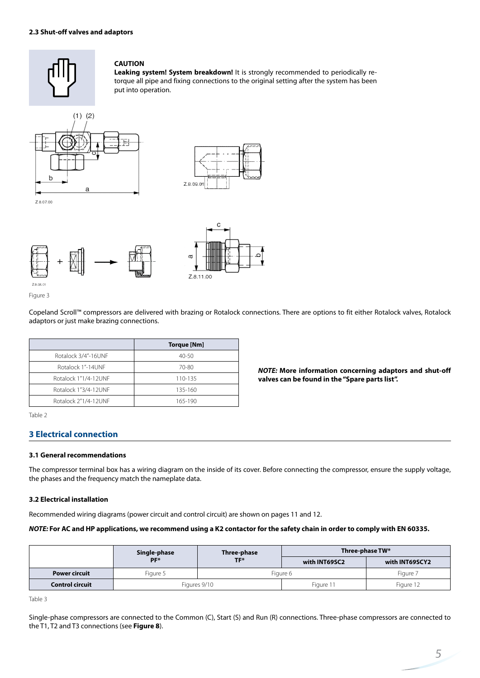

## **CAUTION**

**Leaking system! System breakdown!** It is strongly recommended to periodically retorque all pipe and fixing connections to the original setting after the system has been put into operation.







Figure 3

Copeland Scroll™ compressors are delivered with brazing or Rotalock connections. There are options to fit either Rotalock valves, Rotalock adaptors or just make brazing connections.

|                      | Torque [Nm] |
|----------------------|-------------|
| Rotalock 3/4"-16UNF  | 40-50       |
| Rotalock 1"-14UNF    | 70-80       |
| Rotalock 1"1/4-12UNF | 110-135     |
| Rotalock 1"3/4-12UNF | 135-160     |
| Rotalock 2"1/4-12UNF | 165-190     |

*NOTE:* **More information concerning adaptors and shut-off valves can be found in the "Spare parts list".**

Table 2

## **3 Electrical connection**

## **3.1 General recommendations**

The compressor terminal box has a wiring diagram on the inside of its cover. Before connecting the compressor, ensure the supply voltage, the phases and the frequency match the nameplate data.

## **3.2 Electrical installation**

Recommended wiring diagrams (power circuit and control circuit) are shown on pages 11 and 12.

## *NOTE:* **For AC and HP applications, we recommend using a K2 contactor for the safety chain in order to comply with EN 60335.**

|                        | Single-phase | Three-phase | Three-phase TW*      |                |  |
|------------------------|--------------|-------------|----------------------|----------------|--|
|                        | PF*          | TF*         | with INT69SC2        | with INT69SCY2 |  |
| <b>Power circuit</b>   | Figure 5     |             | Figure 7<br>Figure 6 |                |  |
| <b>Control circuit</b> | Figures 9/10 |             | Figure 11            | Figure 12      |  |

Table 3

Single-phase compressors are connected to the Common (C), Start (S) and Run (R) connections. Three-phase compressors are connected to the T1, T2 and T3 connections (see **Figure 8**).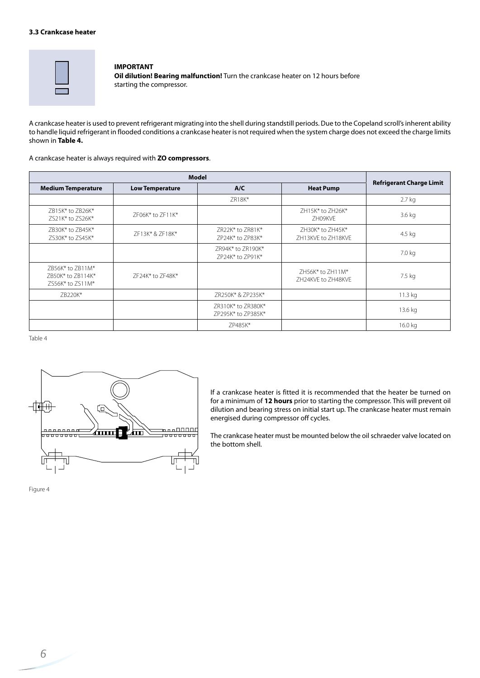## **3.3 Crankcase heater**



## **IMPORTANT**

**Oil dilution! Bearing malfunction!** Turn the crankcase heater on 12 hours before starting the compressor.

A crankcase heater is used to prevent refrigerant migrating into the shell during standstill periods. Due to the Copeland scroll's inherent ability to handle liquid refrigerant in flooded conditions a crankcase heater is not required when the system charge does not exceed the charge limits shown in **Table 4.**

A crankcase heater is always required with **ZO compressors**.

|                                                           | <b>Refrigerant Charge Limit</b> |                                          |                                        |          |  |
|-----------------------------------------------------------|---------------------------------|------------------------------------------|----------------------------------------|----------|--|
| <b>Medium Temperature</b>                                 | <b>Low Temperature</b>          | A/C                                      | <b>Heat Pump</b>                       |          |  |
|                                                           |                                 | ZR18K*                                   |                                        | $2.7$ kg |  |
| 7B15K* to 7B26K*<br>ZS21K* to ZS26K*                      | 7F06K* to 7F11K*                |                                          | ZH15K* to ZH26K*<br>ZH09KVE            | 3.6 kg   |  |
| ZB30K* to ZB45K*<br>ZS30K* to ZS45K*                      | ZF13K* & ZF18K*                 | ZR22K* to ZR81K*<br>ZP24K* to ZP83K*     | ZH30K* to ZH45K*<br>ZH13KVE to ZH18KVE | 4.5 kg   |  |
|                                                           |                                 | 7R94K* to 7R190K*<br>ZP24K* to ZP91K*    |                                        | 7.0 kg   |  |
| ZB56K* to ZB11M*<br>ZB50K* to ZB114K*<br>ZS56K* to ZS11M* | 7F24K* to 7F48K*                |                                          | ZH56K* to ZH11M*<br>ZH24KVE to ZH48KVE | 7.5 kg   |  |
| ZB220K*                                                   |                                 | ZR250K* & ZP235K*                        |                                        | 11.3 kg  |  |
|                                                           |                                 | ZR310K* to ZR380K*<br>ZP295K* to ZP385K* |                                        | 13.6 kg  |  |
|                                                           |                                 | ZP485K*                                  |                                        | 16.0 kg  |  |

Table 4



If a crankcase heater is fitted it is recommended that the heater be turned on for a minimum of **12 hours** prior to starting the compressor. This will prevent oil dilution and bearing stress on initial start up. The crankcase heater must remain energised during compressor off cycles.

The crankcase heater must be mounted below the oil schraeder valve located on the bottom shell.

Figure 4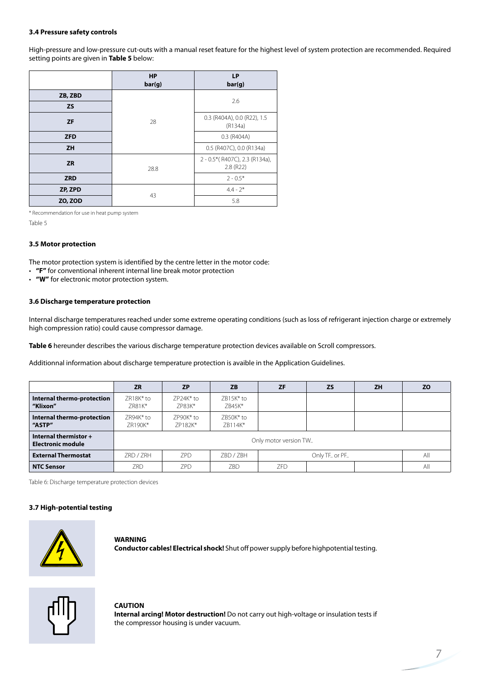## **3.4 Pressure safety controls**

High-pressure and low-pressure cut-outs with a manual reset feature for the highest level of system protection are recommended. Required setting points are given in **Table 5** below:

|            | <b>HP</b><br>bar(g) | <b>LP</b><br>bar(g)                         |  |  |
|------------|---------------------|---------------------------------------------|--|--|
| ZB, ZBD    |                     | 2.6                                         |  |  |
| <b>ZS</b>  |                     |                                             |  |  |
| <b>ZF</b>  | 28                  | 0.3 (R404A), 0.0 (R22), 1.5<br>(R134a)      |  |  |
| <b>ZFD</b> |                     | 0.3 (R404A)                                 |  |  |
| <b>ZH</b>  |                     | 0.5 (R407C), 0.0 (R134a)                    |  |  |
| <b>ZR</b>  | 28.8                | 2 - 0.5* (R407C), 2.3 (R134a),<br>2.8 (R22) |  |  |
| <b>ZRD</b> |                     | $2 - 0.5*$                                  |  |  |
| ZP, ZPD    | 43                  | $4.4 - 2*$                                  |  |  |
| ZO, ZOD    |                     | 5.8                                         |  |  |

\* Recommendation for use in heat pump system

Table 5

## **3.5 Motor protection**

The motor protection system is identified by the centre letter in the motor code:

- **"F"** for conventional inherent internal line break motor protection
- **"W"** for electronic motor protection system.

#### **3.6 Discharge temperature protection**

Internal discharge temperatures reached under some extreme operating conditions (such as loss of refrigerant injection charge or extremely high compression ratio) could cause compressor damage.

**Table 6** hereunder describes the various discharge temperature protection devices available on Scroll compressors.

Additionnal information about discharge temperature protection is avaible in the Application Guidelines.

|                                                   | <b>ZR</b>             | <b>ZP</b>              | <b>ZB</b>               | <b>ZF</b> | <b>ZS</b>     | <b>ZH</b> | <b>ZO</b> |
|---------------------------------------------------|-----------------------|------------------------|-------------------------|-----------|---------------|-----------|-----------|
| Internal thermo-protection<br>"Klixon"            | 7R18K* to<br>ZR81K*   | $7P24K*$ to<br>ZP83K*  | $ZB15K*$ to<br>$ZB45K*$ |           |               |           |           |
| Internal thermo-protection<br>"ASTP"              | ZR94K* to<br>ZR190K*  | $7P90K*$ to<br>ZP182K* | ZB50K* to<br>ZB114K*    |           |               |           |           |
| Internal thermistor +<br><b>Electronic module</b> | Only motor version TW |                        |                         |           |               |           |           |
| <b>External Thermostat</b>                        | ZRD / ZRH             | ZPD.                   | ZBD / ZBH               |           | Only TF or PF |           | All       |
| <b>NTC Sensor</b>                                 | ZRD                   | <b>ZPD</b>             | ZBD                     | ZFD       |               |           | All       |

Table 6: Discharge temperature protection devices

## **3.7 High-potential testing**



**WARNING Conductor cables! Electrical shock!** Shut off power supply before highpotential testing.



#### **CAUTION**

**Internal arcing! Motor destruction!** Do not carry out high-voltage or insulation tests if the compressor housing is under vacuum.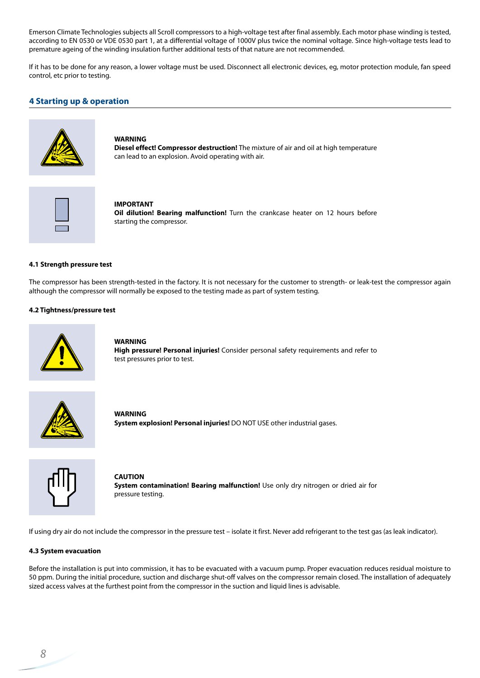Emerson Climate Technologies subjects all Scroll compressors to a high-voltage test after final assembly. Each motor phase winding is tested, according to EN 0530 or VDE 0530 part 1, at a differential voltage of 1000V plus twice the nominal voltage. Since high-voltage tests lead to premature ageing of the winding insulation further additional tests of that nature are not recommended.

If it has to be done for any reason, a lower voltage must be used. Disconnect all electronic devices, eg, motor protection module, fan speed control, etc prior to testing.

## **4 Starting up & operation**



**WARNING Diesel effect! Compressor destruction!** The mixture of air and oil at high temperature can lead to an explosion. Avoid operating with air.



**IMPORTANT Oil dilution! Bearing malfunction!** Turn the crankcase heater on 12 hours before starting the compressor.

#### **4.1 Strength pressure test**

The compressor has been strength-tested in the factory. It is not necessary for the customer to strength- or leak-test the compressor again although the compressor will normally be exposed to the testing made as part of system testing.

#### **4.2 Tightness/pressure test**



**WARNING High pressure! Personal injuries!** Consider personal safety requirements and refer to test pressures prior to test.







**CAUTION System contamination! Bearing malfunction!** Use only dry nitrogen or dried air for pressure testing.

If using dry air do not include the compressor in the pressure test – isolate it first. Never add refrigerant to the test gas (as leak indicator).

#### **4.3 System evacuation**

Before the installation is put into commission, it has to be evacuated with a vacuum pump. Proper evacuation reduces residual moisture to 50 ppm. During the initial procedure, suction and discharge shut-off valves on the compressor remain closed. The installation of adequately sized access valves at the furthest point from the compressor in the suction and liquid lines is advisable.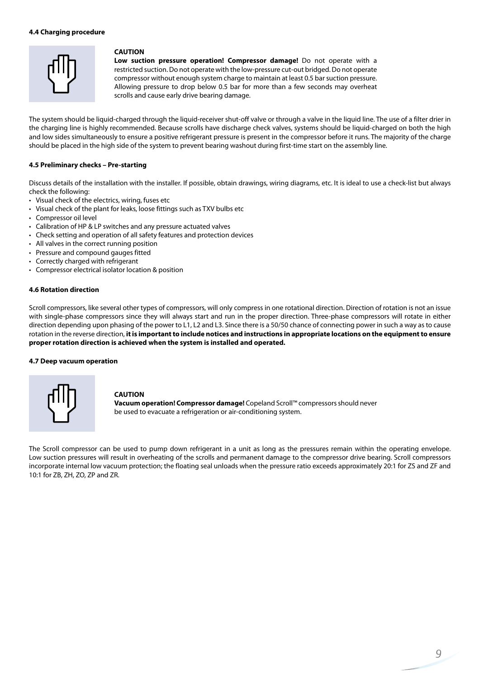## **4.4 Charging procedure**



#### **CAUTION**

**Low suction pressure operation! Compressor damage!** Do not operate with a restricted suction. Do not operate with the low-pressure cut-out bridged. Do not operate compressor without enough system charge to maintain at least 0.5 bar suction pressure. Allowing pressure to drop below 0.5 bar for more than a few seconds may overheat scrolls and cause early drive bearing damage.

The system should be liquid-charged through the liquid-receiver shut-off valve or through a valve in the liquid line. The use of a filter drier in the charging line is highly recommended. Because scrolls have discharge check valves, systems should be liquid-charged on both the high and low sides simultaneously to ensure a positive refrigerant pressure is present in the compressor before it runs. The majority of the charge should be placed in the high side of the system to prevent bearing washout during first-time start on the assembly line.

### **4.5 Preliminary checks – Pre-starting**

Discuss details of the installation with the installer. If possible, obtain drawings, wiring diagrams, etc. It is ideal to use a check-list but always check the following:

- Visual check of the electrics, wiring, fuses etc
- Visual check of the plant for leaks, loose fittings such as TXV bulbs etc
- Compressor oil level
- Calibration of HP & LP switches and any pressure actuated valves
- Check setting and operation of all safety features and protection devices
- All valves in the correct running position
- Pressure and compound gauges fitted
- Correctly charged with refrigerant
- Compressor electrical isolator location & position

#### **4.6 Rotation direction**

Scroll compressors, like several other types of compressors, will only compress in one rotational direction. Direction of rotation is not an issue with single-phase compressors since they will always start and run in the proper direction. Three-phase compressors will rotate in either direction depending upon phasing of the power to L1, L2 and L3. Since there is a 50/50 chance of connecting power in such a way as to cause rotation in the reverse direction, **it is important to include notices and instructions in appropriate locations on the equipment to ensure proper rotation direction is achieved when the system is installed and operated.**

#### **4.7 Deep vacuum operation**



## **CAUTION**

**Vacuum operation! Compressor damage!** Copeland Scroll™ compressors should never be used to evacuate a refrigeration or air-conditioning system.

The Scroll compressor can be used to pump down refrigerant in a unit as long as the pressures remain within the operating envelope. Low suction pressures will result in overheating of the scrolls and permanent damage to the compressor drive bearing. Scroll compressors incorporate internal low vacuum protection; the floating seal unloads when the pressure ratio exceeds approximately 20:1 for ZS and ZF and 10:1 for ZB, ZH, ZO, ZP and ZR.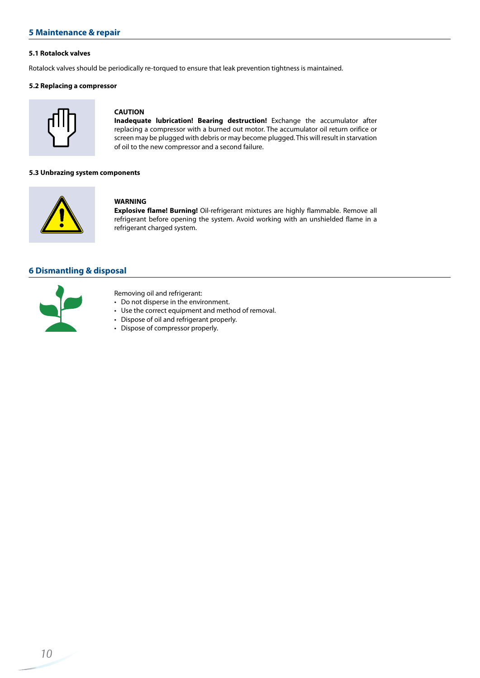## **5.1 Rotalock valves**

Rotalock valves should be periodically re-torqued to ensure that leak prevention tightness is maintained.

## **5.2 Replacing a compressor**



#### **CAUTION**

**Inadequate lubrication! Bearing destruction!** Exchange the accumulator after replacing a compressor with a burned out motor. The accumulator oil return orifice or screen may be plugged with debris or may become plugged. This will result in starvation of oil to the new compressor and a second failure.

#### **5.3 Unbrazing system components**



#### **WARNING**

**Explosive flame! Burning!** Oil-refrigerant mixtures are highly flammable. Remove all refrigerant before opening the system. Avoid working with an unshielded flame in a refrigerant charged system.

## **6 Dismantling & disposal**



- Removing oil and refrigerant:
- Do not disperse in the environment.
- Use the correct equipment and method of removal.
- Dispose of oil and refrigerant properly.
- Dispose of compressor properly.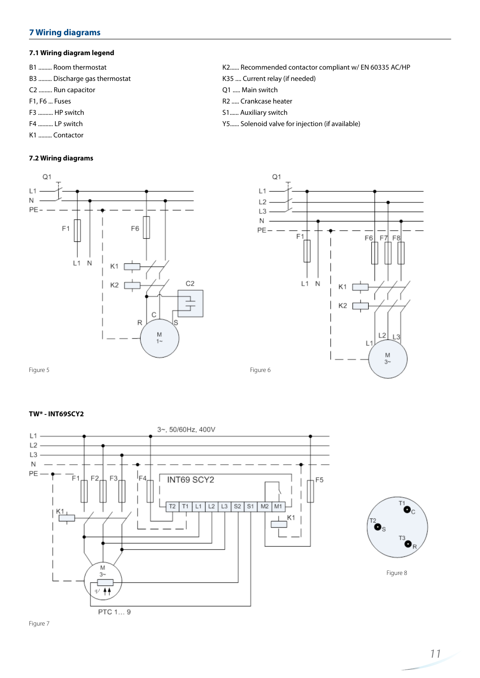# **7 Wiring diagrams**

## **7.1 Wiring diagram legend**

- B1 ......... Room thermostat
- B3 ......... Discharge gas thermostat
- C2 ......... Run capacitor
- F1, F6 ... Fuses
- F3 .......... HP switch
- F4 .......... LP switch
- K1 ......... Contactor

## **7.2 Wiring diagrams**





K2...... Recommended contactor compliant w/ EN 60335 AC/HP

K35 .... Current relay (if needed)

Y5...... Solenoid valve for injection (if available)

Q1 ..... Main switch R2 ..... Crankcase heater S1...... Auxiliary switch

Figure 5

Figure 6



# **TW\* - INT69SCY2**

Figure 7